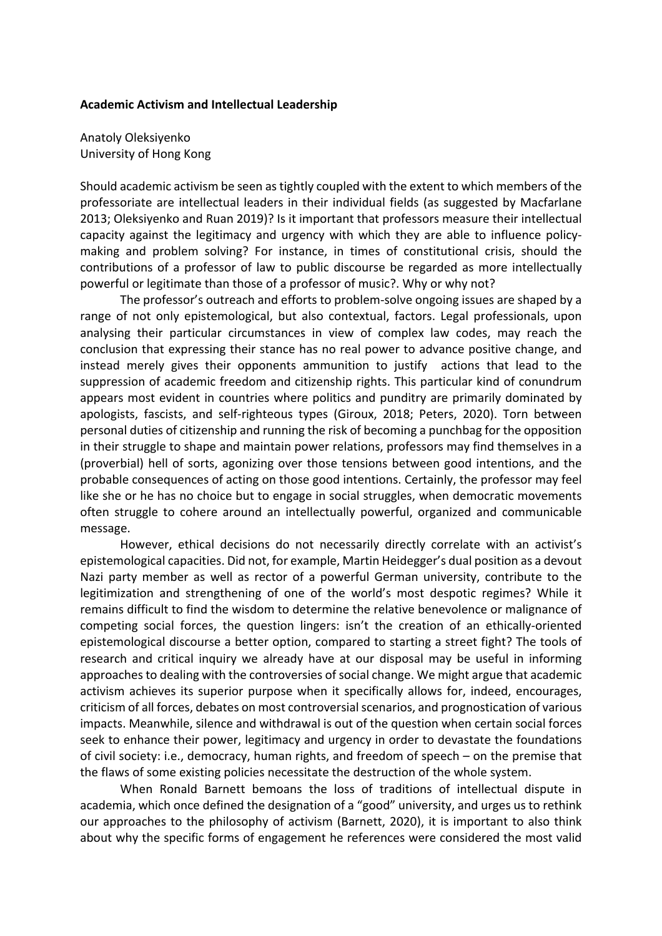## **Academic Activism and Intellectual Leadership**

Anatoly Oleksiyenko University of Hong Kong

Should academic activism be seen as tightly coupled with the extent to which members of the professoriate are intellectual leaders in their individual fields (as suggested by Macfarlane 2013; Oleksiyenko and Ruan 2019)? Is it important that professors measure their intellectual capacity against the legitimacy and urgency with which they are able to influence policymaking and problem solving? For instance, in times of constitutional crisis, should the contributions of a professor of law to public discourse be regarded as more intellectually powerful or legitimate than those of a professor of music?. Why or why not?

The professor's outreach and efforts to problem-solve ongoing issues are shaped by a range of not only epistemological, but also contextual, factors. Legal professionals, upon analysing their particular circumstances in view of complex law codes, may reach the conclusion that expressing their stance has no real power to advance positive change, and instead merely gives their opponents ammunition to justify actions that lead to the suppression of academic freedom and citizenship rights. This particular kind of conundrum appears most evident in countries where politics and punditry are primarily dominated by apologists, fascists, and self-righteous types (Giroux, 2018; Peters, 2020). Torn between personal duties of citizenship and running the risk of becoming a punchbag for the opposition in their struggle to shape and maintain power relations, professors may find themselves in a (proverbial) hell of sorts, agonizing over those tensions between good intentions, and the probable consequences of acting on those good intentions. Certainly, the professor may feel like she or he has no choice but to engage in social struggles, when democratic movements often struggle to cohere around an intellectually powerful, organized and communicable message.

However, ethical decisions do not necessarily directly correlate with an activist's epistemological capacities. Did not, for example, Martin Heidegger's dual position as a devout Nazi party member as well as rector of a powerful German university, contribute to the legitimization and strengthening of one of the world's most despotic regimes? While it remains difficult to find the wisdom to determine the relative benevolence or malignance of competing social forces, the question lingers: isn't the creation of an ethically-oriented epistemological discourse a better option, compared to starting a street fight? The tools of research and critical inquiry we already have at our disposal may be useful in informing approaches to dealing with the controversies of social change. We might argue that academic activism achieves its superior purpose when it specifically allows for, indeed, encourages, criticism of all forces, debates on most controversial scenarios, and prognostication of various impacts. Meanwhile, silence and withdrawal is out of the question when certain social forces seek to enhance their power, legitimacy and urgency in order to devastate the foundations of civil society: i.e., democracy, human rights, and freedom of speech – on the premise that the flaws of some existing policies necessitate the destruction of the whole system.

When Ronald Barnett bemoans the loss of traditions of intellectual dispute in academia, which once defined the designation of a "good" university, and urges us to rethink our approaches to the philosophy of activism (Barnett, 2020), it is important to also think about why the specific forms of engagement he references were considered the most valid